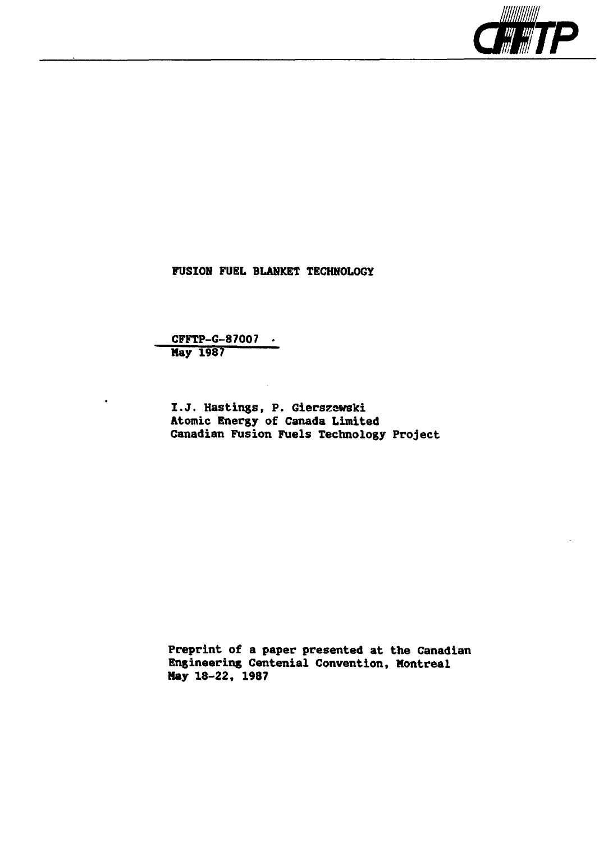

FUSION FUEL BLANKET TECHNOLOGY

CFFTP-G-87OO7 Nay 1987

I.J. Hastings, P. Gierszewski Atomic Energy of Canada Limited Canadian Fusion Fuels Technology Project

Preprint of a paper presented at the Canadian Engineering Centenial Convention, Montreal **Hay** 18-22, 1987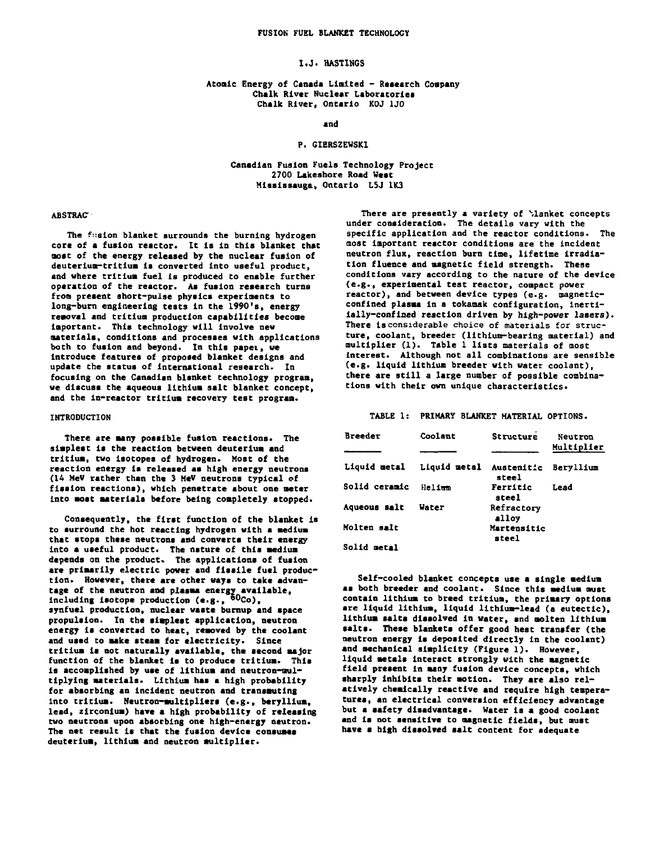### **I.J. HASTINGS**

# **Atomic Energy of Canada United - Research Company Chalk River Nuclear Laboratories**

and

## Canadian Fusion Fuels Technology Project 2700 Lakeshore Road West Mississauga, Ontario L5J 1K3

## **ABSTRAC**

**The fusion blanket surrounds the burning hydrogen core of a fusion reactor. It Is In this blanket that aost of the energy released by the nuclear fusion of deuterium-tritium is converted Into useful product, and where tritium fuel is produced to enable further operation of the reactor. As fusion research turns fron present short-pulse physics experiments to long-burn engineering tests in the 1990's, energy removal and trltiua production capabilities becone Important. This technology will involve new materials, conditions and processes with applications both to fusion and beyond. In this papei, we Introduce features of proposed blanket designs and update the status of international research. In focusing on the Canadian blanket technology program, we discuss the aqueous lithium salt blanket concept, and the ln-reactor tritium recovery test program.**

## **INTRODUCTION**

**There are many possible fusion reactions. The simplest Is the reaction between deuterium and tritium, two Isotopes of hydrogen. Most of the reaction energy is released as high energy neutrons (14 HeV rather than the 3 HeV neutrons typical of fission reactions), which penetrate about one meter Into most materials before being completely stopped.**

**Consequently, the first function of the blanket is to surround the hot reacting hydrogen with a medium that stops these neutrons and converts their energy into a useful product. The nature of this medium depends on the product. The applications of fusion are primarily electric power and fissile fuel production. However, there are other ways to take advan**tage of the neutron and plasma energy available,<br>including isotope production (e.g., <sup>60</sup>Co), **synfuel production, nuclear waste burnup and space propulsion. In the simplest application, neutron energy Is converted to heat, removed by the coolant and used to make steam for electricity. Since tritium is not naturally available, the second major function of the blanket Is to produce tritium. This is accomplished by use of lithium and neutron-multiplying materials. Lithium has a high probability for absorbing an incident neutron and transmuting Into tritium. Neutron-multipliers (e.g., beryllium, lead, zirconium) have a high probability of releasing two neutrons upon absorbing one high-energy neutron. The net result is that the fusion device consumes deuterium, lithium and neutron multiplier.**

There are presently a variety of blanket concepts **under consideration. The details vary with the specific application and the reactor conditions. The most Important reactor conditions are the incident neutron flux, reaction burn time, lifetime irradiation fluence and magnetic field strength. These conditions vary according to the nature of the device (e.g., experimental test reactor, compact power reactor), and between device types (e.g. magneticconfined plasma in a tokamak configuration, inertiially-confiaed reaction driven by high-power lasers). There is considerable choice of materials for structure, coolant, breeder (lithium-bearing material) and multiplier (1). Table 1 lists materials of most Interest. Although not all combinations are sensible (e.g. liquid lithium breeder with water coolant), there are still a large number of possible combinations with their own unique characteristics.**

## **TABLE 1: PRIMARY BLANKET MATERIAL OPTIONS.**

| Breeder       | Coolant      | Structure                  | Neutron    |
|---------------|--------------|----------------------------|------------|
|               |              |                            | Multiplier |
| Liquid metal  | Liquid metal | <b>Austenitic</b><br>steel | Bervllium  |
| Solid ceramic | Helium       | Ferritic<br>steel          | Lead       |
| Aqueous salt  | Water        | Refractory<br>alloy        |            |
| Molten salt   |              | Martensitic<br>steel       |            |
| Solid metal   |              |                            |            |

**Self-cooled blanket concepts use a single medium as both breeder and coolant. Since this medium must contain lithium to breed tritium, the primary options** are liquid lithium, liquid lithium-lead (a eutectic), **lithium salts dissolved in water, and molten lithium salts. These blankets offer good heat transfer (the neutron energy is deposited directly in the coolant) and mechanical simplicity (Figure 1). However, liquid metals Interact strongly with the magnetic field present in msny fusion device concepts, which sharply inhibits their motion. They are also relatively chemically reactive and require high temperatures, an electrical conversion efficiency advantage but a safety disadvantage. Water is a good coolant and is not sensitive to magnetic fields, but must have a high dissolved salt content for adequate**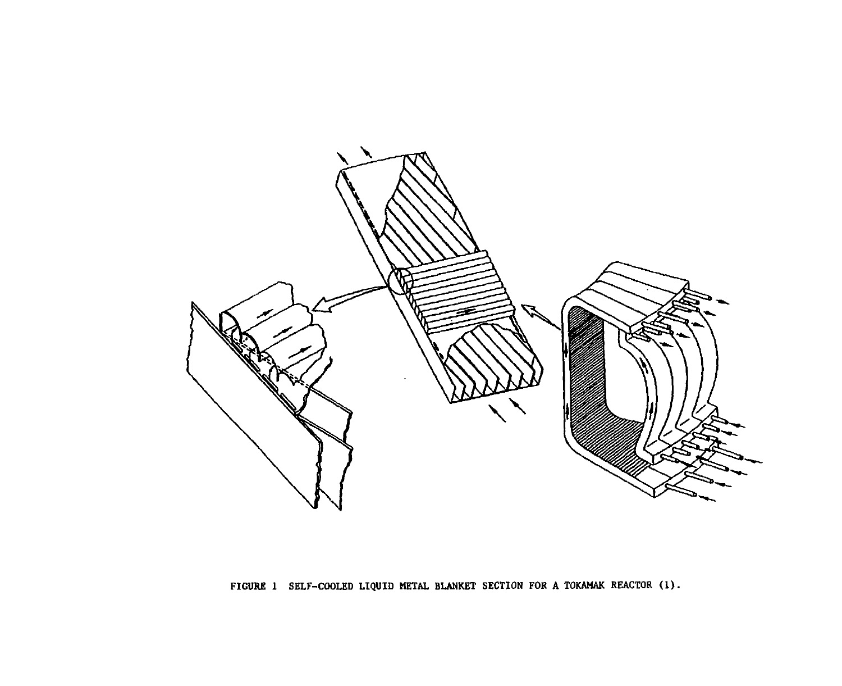

**FIGURE 1 SELF-COOLED LIQUID METAL BLANKET SECTION FOR A TOKAMAK REACTOR (1)-**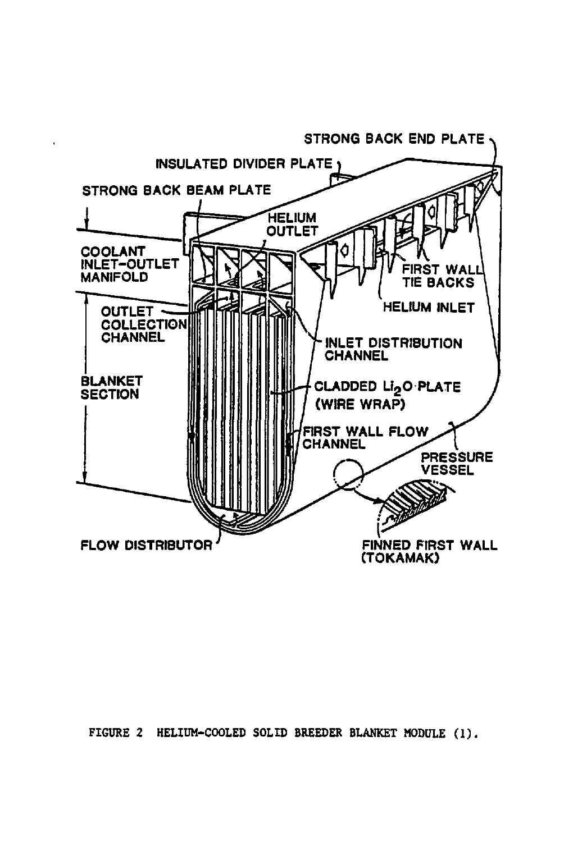

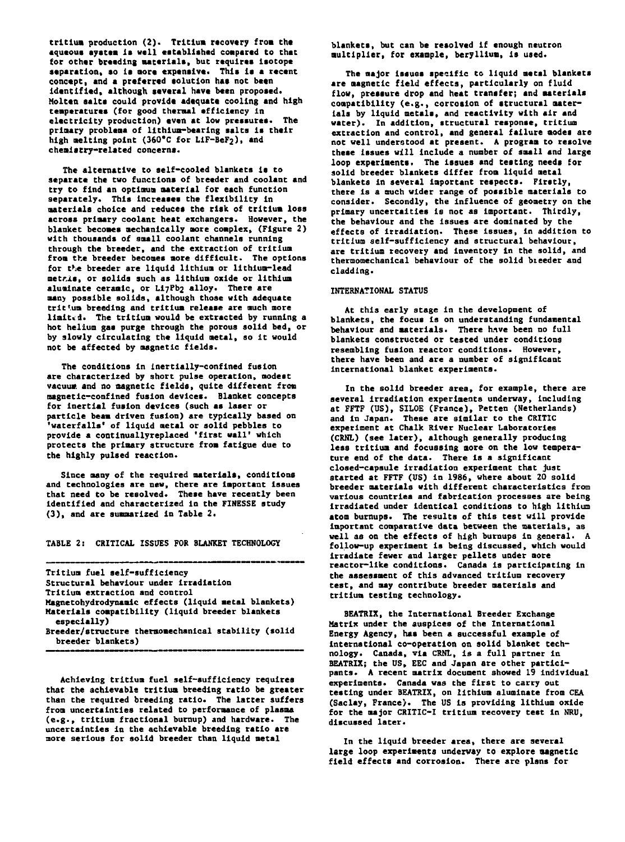tritium production (2). Tritium recovery from the aqueous ayatem is well established compared to that **Cor other breeding matariala, but requires laotopc aaparatlon, ao la oora expansive. Thla la a raccnt conctpt, and a preferred aolutlon hat not been identified, although several have been proposed. Molten salta could provide adequate cooling and high tenperaturet (for good thermal efficiency In electricity production) even at low pressures. The prloary probleaa of lithium-bearing salta la their** high melting point (360°C for LiF-BeF<sub>2</sub>), and **chealatry-related concerns.**

**The alternative to self-cooled blankets Is to separate the two functions of breeder and coolant and try to find an optimum material for each function separately. This increases the flexibility in materials choice and reduces the risk of tritium loss across primary coolant heat exchangers. However, the blanket becomes mechanically more complex, (Figure 2) with thousands of small coolant channels running through the breeder, and the extraction of tritium from the breeder becomes more difficult. The options for t>ie breeder are liquid lithium or lithium-lead metr.it, or solids such as lithium oxide or lithium aluainate ceramic, or Li7Pb2 alloy. There are man) possible solids, although those with adequate trit'.um breeding and tritium release are much more limited. The tritium would be extracted by running a hot helium gas purge through the porous solid bed, or by slowly circulating the liquid metal, so it would not be affected by magnetic fields.**

**The conditions in inertially-confined fusion are characterized by short pulse operation, modest vacuum and no magnetic fields, quite different from magnetic-confined fusion devices. Blanket concepts for inertial fusion devices (such as laser or particle beam driven fusion) are typically based on 'waterfalls' of liquid metal or solid pebbles to provide a continuallyreplaced 'first wall' which protects the primary structure from fatigue due to the highly pulsed reaction.**

**Since many of the required materials, conditions and technologies are new, there are important issues that need to be resolved. These have recently been identified and characterized in the FINESSE study (3), and are summarized in Table 2.**

**TABLE 2: CRITICAL ISSUES FOR BLANKET TECHNOLOGY**

| Tritium fuel self-sufficiency                                            |
|--------------------------------------------------------------------------|
| Structural behaviour under irradiation                                   |
| Tritium extraction and control                                           |
| Magnetohydrodynamic effects (liquid metal blankets)                      |
| Materials compatibility (liquid breeder blankets<br>especially)          |
| Breeder/structure thermomechanical stability (solid<br>breeder blankets) |

**Achieving tritium fuel self-sufficiency requires that the achievable tritium breeding ratio be greater than the required breeding ratio. The latter suffers from uncertainties related to performance of plasma (e.g., tritium fractional burnup) and hardware. The uncertainties in the achievable breeding ratio are more serious for solid breeder than liquid metal**

**blankets, but can be resolved if enough neutron multiplier, for example, beryllium, is used.**

**The major issues specific to liquid metal blankets are magnetic field effects, particularly on fluid flow, pressure drop and heat transfer; and materials compatibility (e.g., corrosion of structural materials by liquid metals, and reactivity with air and water). In addition, structural response, tritium extraction and control, and general failure modes are not well understood at present. A program to resolve these issues will include a number of small and large loop experiments. The issues and testing needs for solid breeder blankets differ from liquid metal blankets In several Important respects. Firstly, there is a much wider range of possible materials to consider. Secondly, the influence of geometry on the primary uncertaities is not as Important. Thirdly, the behaviour and the issues are dominated by the effects of irradiation. These issues, In addition to tritium self—sufficiency and structural behaviour, are tritium recovery and inventory in the solid, and thermomechanical behaviour of the solid bieeder and cladding.**

## **INTERNATIONAL STATUS**

**At this early stage in che development of blankets, the focus is on understanding fundamental behaviour and materials. There hnve been no full blankets constructed or tested under conditions resembling fusion reactor conditions. However, there have been and are a number of significant international blanket experiments.**

**In the solid breeder area, for example, there are several Irradiation experiments underway, including at FFTF (US), SILOE (France), Petten (Netherlands) and In Japan. These are similar to the CRITIC experiment at Chalk River Nuclear Laboratories (CRNL) (see later), although generally producing less tritium and focussing more on the low temperature end of the data. There is a significant closed-capsule irradiation experiment that just started at FFTF (US) in 1986, where about 20 solid breeder materials with different characteristics from various countries and fabrication processes are being irradiated under identical conditions to high lithium atom burnups. The results of this test will provide important comparative data between the materials, as well as on the effects of high burnups in general. A follow-up experiment is being discussed, which would irradiate fewer and larger pellets under more reactor-like conditions. Canada is participating in the assessment of this advanced tritium recovery test, and may contribute breeder materials and tritium testing technology.**

**BEATRIX, the International Breeder Exchange Matrix under the auspices of the International Energy Agency, has been a successful example of International co-operation on solid blanket technology. Canada, via CRNL, is a full partner in BEATRIX; the US, EEC and Japan are other participants. A recent matrix document showed 19 individual experiments. Canada was the first to carry out testing under BEATRIX, on lithium aluminate from CEA (Saclay, France). The US is providing lithium oxide for the major CRITIC-I tritium recovery test in NRU, discussed later.**

**In the liquid breeder area, there are several large loop experiments underway to explore magnetic field effects and corroaion. There are plans for**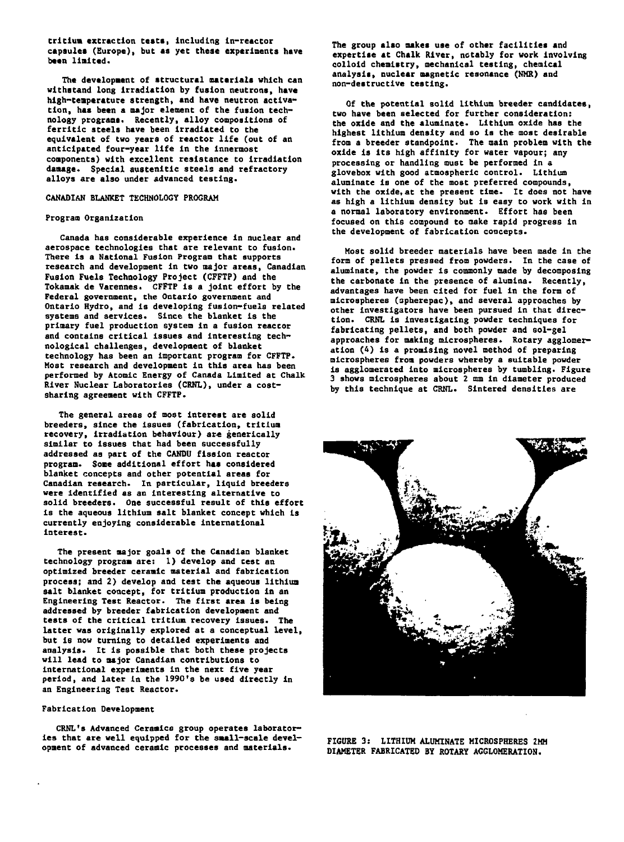**tritium extraction tests, Including ln-reactor capsules (Europe), but as yet these experiments have been United.**

**The development of structural materials which can withstand long Irradiation by fusion neutrons, have hlgh-Cemperature strength, and have neutron activation, has been a major element of the fusion technology programs. Recently, alloy compositions of ferritic steels have been Irradiated to the equivalent of two years of reactor life (out of an anticipated four-year life in the Innermost components) with excellent resistance to irradiation damage. Special austenitic steels and refractory alloys are also under advanced testing.**

## **CANADIAN BLANKET TECHNOLOGY PROGRAM**

## **Program Organization**

**Canada has considerable experience in nuclear and aerospace technologies that are relevant to fusion. There Is a National Fusion Program that supports research and development in two major areas, Canadian Fusion Fuels Technology Project (CFFTP) and the Tokamak de Varennes. CFFTP is a joint effort by the Federal government, the Ontario government and Ontario Hydro, and is developing fusion-fuels related systems and services. Since the blanket is the primary fuel production system in a fusion reactor and contains critical issues and interesting technological challenges, development of blanket technology has been an important program for CFFTP. Host research and development in this area has been performed by Atomic Energy of Canada Limited at Chalk River Nuclear Laboratories (CRNL), under a costsharing agreement with CFFTP.**

**The general areas of most interest are solid breeders, since the issues (fabrication, tritium recovery, irradiation behaviour) are generically similar to issues that had been successfully addressed as part of the CANDU fission reactor program. Some additional effort has considered blanket concepts and other potential areas for Canadian research. In particular, liquid breeders were Identified as an interesting alternative to solid breeders. One successful result of this effort is the aqueous lithium salt blanket concept which is currently enjoying considerable international interest.**

**The present major goals of the Canadian blanket technology program are: I) develop and test an optimized breeder ceramic material and fabrication process; and 2) develop and test the aqueous lithium salt blanket concept, for tritium production in an Engineering Test Reactor. The first area is being addressed by breeder fabrication development and tests of the critical tritlun recovery issues. The latter was originally explored at a conceptual level, but is now turning to detailed experiments and analysis. It is possible that both these projects will lead to major Canadian contributions to international experiments in the next five year period, and later In the 1990's be used directly in an Engineering Test Reactor.**

## **Fabrication Development**

**CRNL's Advanced Ceramics group operates laboratories that are well equipped for the small-scale development of advanced ceramic processes and materials.**

**The group also makes use of other facilities and expertise at Chalk River, notably for work involving colloid chemistry, mechanical testing, chemical analysis, nuclear magnetic resonance (NMR) and non-destructive testing.**

**Of the potential solid lithium breeder candidates, two have been selected for further consideration: the oxide and the aluminate. Lithium oxide has the highest lithium density and so is the most desirable from a breeder standpoint. The main problem with the oxide Is its high affinity for water vapour; any processing or handling oust be performed in a glovebox with good atmospheric control. Lithium aluminate is one of the most preferred compounds, with the oxide, at the present time. It does not have as high a lithium density but is easy to work with in a normal laboratory environment. Effort has been focused on this compound to make rapid progress In the development of fabrication concepts.**

**Host solid breeder materials have been made in the form of pellets pressed from powders. In the case of aluminate, the powder Is commonly made by decomposing the carbonate in the presence of alumina. Recently, advantages have been cited for fuel in the form of microspheres (spherepac), and several approaches by other investigators have been pursued in that direction. CRNL is investigating powder techniques for fabricating pellets, and both powder and sol-gel approaches for making microspheres. Rotary agglomeration (4) is a promising novel method of preparing microspheres from powders whereby a suitable powder is agglomerated into microspheres by tumbling. Figure 3 shows microspheres about 2 mm in diameter produced by this technique at CRNL. Sintered densities are**



**FIGURE 3: LITHIUM ALUMINATE MICROSPHERES 2HM DIAMETER FABRICATED BY ROTARY AGGLOMERATION.**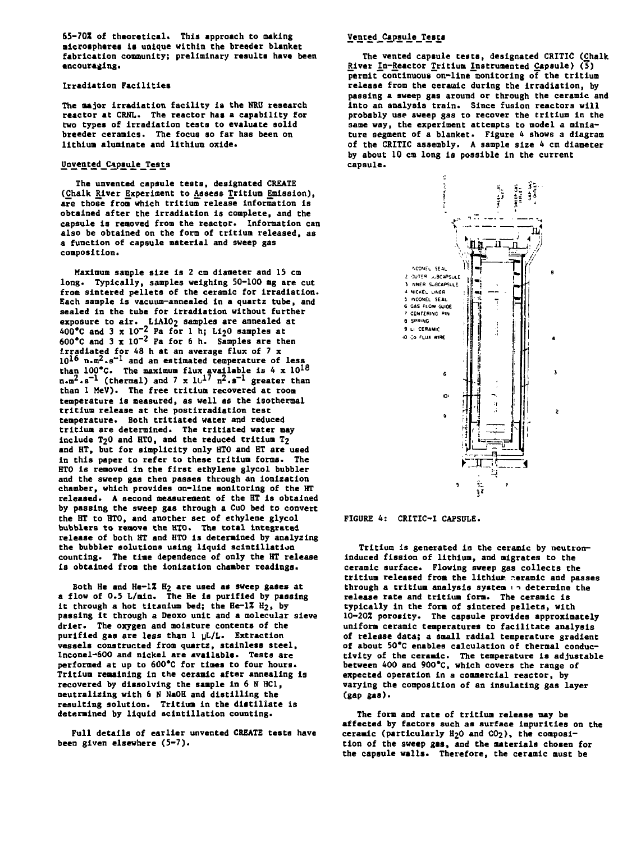**65-70X of theoretical. This approach to making mlcrosphtres la unique within the breeder blanket fabrication community; preliminary results have been encouraging.**

## **Irradiation Facilities**

**The major Irradiation facility is the NRU research reactor at CRNL. The reactor has a capability for two types of irradiation tests to evaluate solid breeder ceranlos. The focus so far has been on lithiua alumlnate and lithium oxide.**

## **Unvented Capsule Tests**

**The unvented capaule tests, designated CREATE (£halk Eliver Experiment to Assess Tritium Emission), are those from which tritium release information is obtained after the irradiation is complete, and the capsule is removed from the reactor. Information can also be obtained on the form of tritium released, as a function of capsule material and sweep gas composition.**

**Maximum sample size is 2 cm dianeter and IS cm long. Typically, samples weighing 50-100 mg are cut from sintered pellets of the ceramic for Irradiation. Each sample is vacuum-annealed In a quart2 tube, and sealed in the tube for irradiation without further exposure to air. LIAIO2 samples are annealed at 400\*C and 3 x 10"<sup>2</sup> Fa for 1 h; Li20 samples at**  $600^{\circ}$ C and  $3 \times 10^{-2}$  Pa for 6 h. Samples are then **irradiated for 48 h at an average flux of 7 x 10^6 n.m^.s"<sup>1</sup> and an estimated temperature of less than 100\*C. The maximum flux available is 4 x 10<sup>18</sup> n.n^.s"<sup>1</sup> (thermal) and 7 x 10<sup>17</sup> n<sup>2</sup>.s-1 greater than than 1 MeV). The free tritium recovered at room temperature is measured, as well as the isothermal tritium release at the postlrradiatlon test temperature. Both trltiated water and reduced tritiua are determined. The tritiated water may include T2O and HTO, and the reduced tritium T2 and HT, but for simplicity only HTO and HT are used in this paper to refer to these tritium forms. The HTO Is removed in the first ethylene glycol bubbler and the sweep gas then passes through an ionization chamber, which provides on-line monitoring of the HT released. A second measurement of the HT is obtained by passing the sweep gas through a CuO bed to convert the HT to HTO, and another set of ethylene glycol bubblers to remove the HTO. The total integrated release of both HT and HTO is determined by analyzing the bubbler solutions using liquid scintillation counting. The time dependence of only the HT release is obtained from the lonization chamber readings.**

**Both He and He-lZ H2 are used as sweep gases at a flow of 0.5 L/min. The He is purified by passing it through a hot titanium bed; the He-II H2, by passing it through a Deoxo unit and a molecular sieve drier. The oxygen and moisture contents of the purified gas are less than 1 yL/L. Extraction vessels constructed from quartz, stainless steel, Inconel-600 and nickel are available. Tests are performed at up to 600\*C for times to four hours. Tritium remaining in the ceramic after annealing is recovered by dissolving the sample in 6 N HC1, neutralizing with 6 N NaOH and distilling the resulting solution. Tritium in the distillate is determined by liquid scintillation counting.**

**Full details of earlier unvented CREATE tests have been given elsewhere (5-7).**

## **Vented\_Capaule Tests**

**The vented capsule tests, designated CRITIC (Chalk** River In-Reactor Tritium Instrumented Capsule) (5) permit<sup>-</sup>continuous<sup>-on-line monitoring of the tritium</sup> **release from the ceramic during the irradiation, by passing a sweep gas around or through the ceramic and into an analysis train. Since fusion reactors will probably use sweep gas to recover the tritium in the same way, the experiment attempts to model a miniature segment of a blanket. Figure 4 shows a diagram of the CRITIC assembly. A sample size 4 cm diameter by about 10 cm long is possible in the current capsule.**



**FIGURE 4: CRITIC-I CAPSULE.**

**Tritium is generated in the ceramic by neutroninduced fission of lithiua, and migrates to the ceramic surface. Flowing sweep gas collects the tritium released from the lithiur. ceramic and passes through a tritium analysis system 1 1 determine the release rate and tritium forn. The ceramic is typically in the form of sintered pellets, with 10-20Z porosity. The capsule provides approximately uniform ceramic temperatures to facilitate analysis of release data; a small radial temperature gradient of about 50\*C enables calculation of thermal conductivity of the ceraaic. The temperature Is adjustable between 400 and 900\*C, which covers the range of expected operation in a commercial reactor, by varying the composition of an insulating gas layer (gap gas).**

**The form and rate of tritium release may be affected by factors such as surface impurities on the ceramic (particularly H2O and CO2), the composition of the sweep gas, and the materials chosen for the capsule walls. Therefore, the ceramic must be**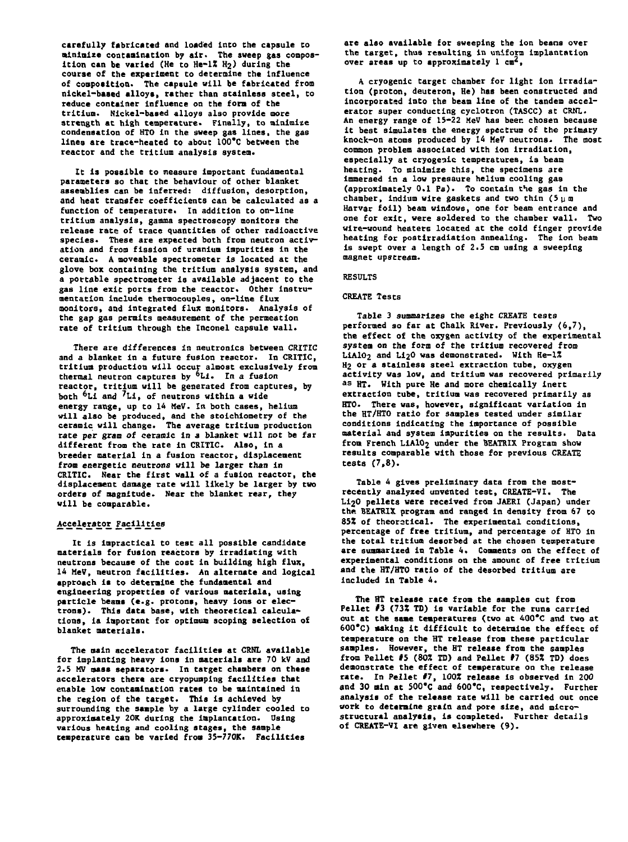**carefully fabricated and loaded Into the capsule to minimize contamination by air. The sweep gas compos**ition can be varied (He to He-1% H<sub>2</sub>) during the **course of the experiment to determine the Influence of composition. The capsule will be fabricated from nickel-based alloys, rather Chan stainless steel, to reduce container influence on the fora of the tritium. Nickel-based alloys also provide more strength at high temperature. Finally, to minimize condensation of HTO in the sweep gas lines, the gas lines are trace-heated to about 100'C between the reactor and the tritium analysis system.**

**It is possible to measure Important fundamental parameters so that the behaviour of other blanket assemblies can be Inferred: diffusion, deaorptlon, and heat transfer coefficients can be calculated as a function of temperature. In addition to on-line tritium analysis, gamma spectroscopy monitors the release rate of trace quantities of other radioactive species. These are expected both from neutron activation and from fission of uranium impurities in the ceramic. A moveable spectrometer Is located at the glove box containing the tritium analysis system, and a portable spectrometer is available adjacent to the gas line exit ports from the reactor. Other Instrumentation include thermocouples, on-line flux monitors, and integrated flux monitors. Analysis of the gap gas permits measurement of the permeation rate of tritium through the Inconel capsule wall.**

**There are differences in neutronics between CRITIC and a blanket in a future fusion reactor. In CRITIC, tritium production will occur almost exclusively from thermal neutron captures by \*Li. In a fusion reactor, tritium will be generated from captures, by both <sup>6</sup>Li and <sup>7</sup>Li, of neutrons within a wide energy range, up to 14 MeV. In both cases, helium will also be produced, and the stoichiometry of the ceramic will change. The average tritium production rate per gram of ceramic in 3 blanket will not be far different from the rate in CRITIC. Also, in a breeder material in a fusion reactor, displacement from energetic neutrons will be larger Chan in CRITIC. Near the first wall of a fusion reactor, the displacement damage rate will likely be larger by two orders of magnitude. Near the blanket rear, they will be comparable.**

## **Ac£ele£atp£ Facilities**

**It is impractical to test all possible candidate materials for fusion reactors by Irradiating with neutrons because of the cost in building high flux, 14 MeV, neutron facilities. An alternate and logical approach is to determine the fundamental and engineering properties of various materials, using particle beams (e.g. protons, heavy ions or electrons). This data base, with theoretical calculations, is important for optimum scoping selection of blanket materials.**

**The main accelerator facilities at CRNL available for Implanting heavy ions in materials are 70 kV and 2.5 MV mass separators. In target chambers on these accelerators there are cryopumping facilities that enable low contamination rates to be maintained In the region of the target. This is achieved by surrounding the sample by a large cylinder cooled to approximately 20K during the implantation. Using various heating and cooling stages, Che sample temperature can be varied from 35-770K. Facilities**

**are also available for sweeping the ion beans over the target, thus resulting in uniform implantation over areas up to approximately 1 cm',**

**A cryogenic target chamber for light Ion irradiation (proton, deuteron, He) has been constructed and incorporated into the beam line of the tandem accelerator super conducting cyclotron (TASCC) at CRNL. An energy range of 15-22 MeV has beer, chosen because it best simulates the energy spectrum of the primary knock-on atoms produced by 14 MeV neutrons. The most common problem associated with ion Irradiation, especially at cryogenic temperatures, is beam heating. To minimize this, the specimens are immersed in a low pressure helium cooling gas (approximately 0.1 Fa). To contain the gas in the** chamber, indium wire gaskets and two thin (5 pm **Harvar foil) beam windows, one for beam entrance and one for exit, were soldered to the chamber wall. Two wire-wound heaters located at the cold finger provide heating for postlrradiation annealing. The ion beam is swept over a length of 2.5 cm using a sweeping magnet upstream.**

## **RESULTS**

## **CREATE Tests**

**Table 3 summarizes the eight CREATE tests performed so far at Chalk River. Previously (6,7), the effect of Che oxygen activity of the experimental system on the form of the tritium recovered from** LiAlO<sub>2</sub> and Li<sub>2</sub>O was demonstrated. With He-1% **H2 or a stainless steel extraction tube, oxygen activity was low, and tritium was recovered primarily <sup>a</sup> <sup>s</sup> HT. With pure He and more chemically inert extraction tube, tritium was recovered primarily as HTO. There was, however, significant variation in the HT/HTO ratio for samples tested under similar conditions indicating the Importance of possible material and system impurities on the results. Data from French LiAlOj under the BEATRIX Program show results comparable with those for previous CREATE tests (7,8).**

**Table 4 gives preliminary data from the mostrecently analyzed unvented Cest, CREATE-VI. The Li20 pellets were received from JAERI (Japan) under the BEATRIX program and ranged in density from 67 to 85% of theoretical. The experimental conditions, percentage of free tritium, and percentage of HTO in the total tritium desorbed at the chosen temperature are summarized in Table 4. Comments on the effect of experimental conditions on the amount of free tritium and the HT/HTO ratio of the desorbed tritium are included in Table 4.**

**The HT release rate from the samples cut from Pellet #3 (73X TD) is variable for the runs carried out at the same temperatures (two at 400\*C and two at 600\*C) making it difficult to determine the effect of temperature on the HT release from these particular samples. However, the HT release from the samples from Pellet #5 (80Z TD) and Pellet #7 (851 TD) does demonstrate the effect of temperature on the release rate. In Pellet #7, 1001 release is observed in 200 and 30 Bin at SOO'C and 600\*C, respectively. Further analysis of the release rate will be carried out once work to determine grain and pore size, and microstructural analysis, Is completed. Further details of CREATE-VI are given elsewhere (9).**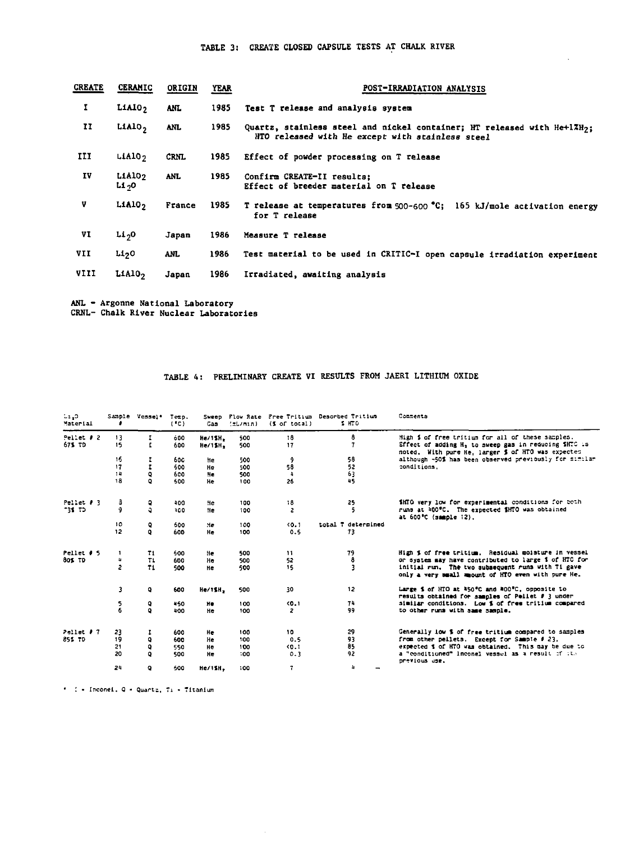## **TABLE 3: CREATE CLOSED CAPSULE TESTS AT CHALK RIVER**

| <b>CREATE</b> | <b>CERAMIC</b>                 | ORIGIN      | <b>YEAR</b> | POST-IRRADIATION ANALYSIS                                                                                                                |  |  |  |
|---------------|--------------------------------|-------------|-------------|------------------------------------------------------------------------------------------------------------------------------------------|--|--|--|
| 1             | LIAI0 <sub>2</sub>             | <b>ANL</b>  | 1985        | Test T release and analysis system                                                                                                       |  |  |  |
| Ħ             | Lialo,                         | <b>ANL</b>  | 1985        | Quartz, stainless steel and nickel container; HT released with He+1%H <sub>2</sub> :<br>HTO released with He except with stainless steel |  |  |  |
| III           | L <sub>1</sub> Al <sub>0</sub> | <b>CRNL</b> | 1985        | Effect of powder processing on T release                                                                                                 |  |  |  |
| IV            | LiAlO <sub>2</sub><br>L1 -,0   | <b>ANL</b>  | 1985        | Confirm CREATE-II results:<br>Effect of breeder material on T release                                                                    |  |  |  |
| V             | LIAIO <sub>2</sub>             | France      | 1985        | T release at temperatures from 500-600 °C; 165 kJ/mole activation energy<br>for T release                                                |  |  |  |
| VI            | Li <sub>2</sub> 0              | Japan       | 1986        | Measure T release                                                                                                                        |  |  |  |
| VII           | Li <sub>2</sub> O              | ANL.        | 1986        | Test material to be used in CRITIC-I open capsule irradiation experiment                                                                 |  |  |  |
| VIII          | L1A10 <sub>2</sub>             | Japan       | 1986        | Irradiated, awaiting analysis                                                                                                            |  |  |  |
|               |                                |             |             |                                                                                                                                          |  |  |  |

**ANL - Argonne National Laboratory CRNL- Chalk River Nuclear Laboratories**

# **TABLE 4: PRELIMINARY CREATE VI RESULTS FROM JAERI LITHIUM OXIDE**

| c. IS<br>Material |                | Sample Vessel* | Terp.<br>(°C) | Sweep<br>Cas | Flow Rate<br>(L1/m1n) | $(5$ of total) | Free Tritium Descried Tritium<br>1 HTD | Comments                                                                                                   |
|-------------------|----------------|----------------|---------------|--------------|-----------------------|----------------|----------------------------------------|------------------------------------------------------------------------------------------------------------|
| Pellet # 2        | 13             | 1              | 600           | He/12H.      | 500                   | 18             | 8                                      | High \$ of free tritium for all of these samples.                                                          |
| 675 TD            | 15             | I              | 600           | He/15H.      | 500                   | 17             | $\overline{1}$                         | Effect of adding H, to sweep gas in reducing SHTC is<br>noted, With pure He, larger \$ of HTO was expected |
|                   | 16             | I              | 60C           | He           | 500                   | 9              | 58                                     | although -50% has been observed previously for similar                                                     |
|                   | 17             | 1              | 500           | He           | 500                   | 58             | 52                                     | conditions.                                                                                                |
|                   | 14             | ٥              | 600           | He           | 500                   | u              | 63                                     |                                                                                                            |
|                   | 18             | ٥              | 500           | He           | 100                   | 26             | 45                                     |                                                                                                            |
| Pellet # 3        | з              | ٥              | 400           | He           | 100                   | 58             | 25                                     | iHTO very low for experimental conditions for both                                                         |
| 731 TD            | ŷ              | a              | 300           | He.          | 100                   | $\overline{c}$ | 5                                      | runs at 400°C. The expected \$HTO was obtained<br>at 600°C (sample 12).                                    |
|                   | 10             | Q              | 600           | Hе           | 100                   | (0.1)          | total T determined                     |                                                                                                            |
|                   | 12             | ۰              | 600           | <b>He</b>    | 100                   | 0.5            | 73                                     |                                                                                                            |
| Pellet # 5        | $\mathbf{1}$   | 71             | -600          | He           | 500                   | $\mathbf{11}$  | 79                                     | High i of free tritium. Residual moisture in vessel                                                        |
| 80% TD            | n.             | T1             | 600           | He           | 500                   | 52             |                                        | or system may have contributed to large i of HTC for                                                       |
|                   | $\overline{z}$ | T1             | 500           | He           | 500                   | 15             | 8<br>3                                 | initial run. The two subsequent runs with Ti gave<br>only a very small mount of HTO even with pure He.     |
|                   | 3              | ۹              | 600           | He/11H.      | 500                   | 30             | 12                                     | Large \$ of HTO at 450°C and 400°C, opposite to<br>results obtained for samples of Pellet # 3 under        |
|                   | 5              | ٩              | 450           | He           | 100                   | 40.1           | 74                                     | similar conditions. Low i of free tritium compared                                                         |
|                   | 6              | ۰              | 400           | He           | 100                   | 2              | 99                                     | to other runs with same sample.                                                                            |
| Pollot # 7        | 23             | 1              | 600           | He           | 100                   | 10             | 29                                     | Generally low \$ of free tritium compared to samples                                                       |
| <b>85% TD</b>     | 19             | ٥              | 600           | He           | 100                   | 0.5            | 93                                     | from other pellets. Except for Sample # 23,                                                                |
|                   | 21             | Q              | 550           | He           | 100                   | <b>CD.1</b>    | 85                                     | expected \$ of HTO was obtained. This may be due to                                                        |
|                   | 20             | $\circ$        | 500           | He.          | 100                   | 0.3            | 92                                     | a "conditioned" inconel vessel as a result of the<br>previous use.                                         |
|                   | 24             | ۰              | 600           | He/ISH,      | 100                   | 7.             | 4                                      |                                                                                                            |

Inconel. Q • Quarts, 7i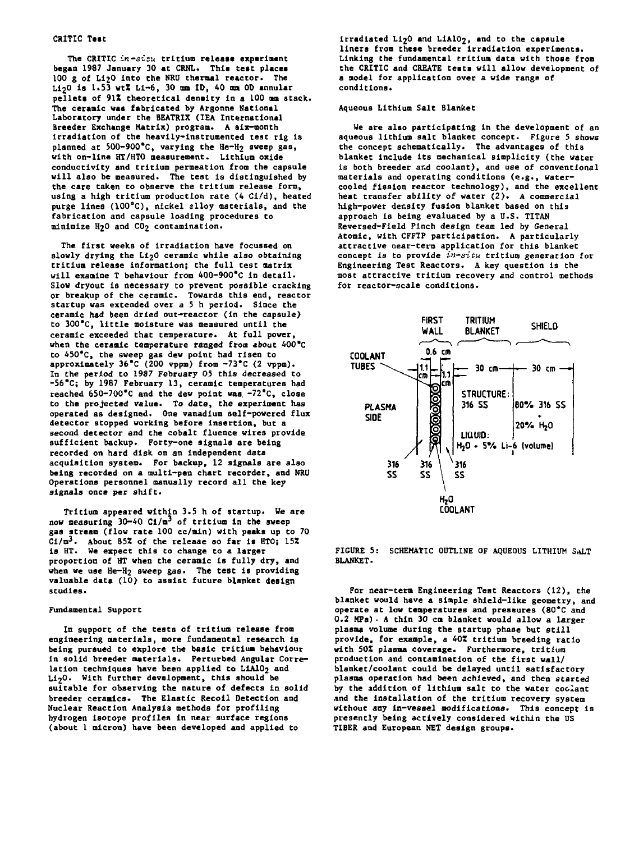## **CRITIC Test**

**The CRITIC in-sivu tritium release experiment began 1987 January 30 at CRNL. Thla test places 100 g of LI2O into the NRU thermal reactor. The U.20 is 1.53 wtZ Li-6, 30 mm ID, 40 am 0D annular pellets of 91Z theoretical density in a 100 am stack. The ceramic was fabricated by Argonne National Laboratory under the BEATRIX (IEA International Breeder Exchange Matrix) program. A six-month Irradiation of the heavily-instrumented teat rig is planned at 5OO-9OO\*C, varying the He-H2 sweep gas, with on-line HT/HTO measurement. Lithium oxide conductivity and tritium permeation from the capsule will also be measured. The test is distinguished by the care taken to observe the tritium release form, using a high tritium production rate (4 Cl/d), heated purge lines (100°C), nickel alloy materials, and the fabrication and capsule loading procedures to minimize H2O and CO2 contamination.**

**The first weeks of Irradiation have focussed on** slowly drying the Li<sub>2</sub>0 ceramic while also obtaining **tritium release Information; the full test matrix will examine T behaviour from 400-900\*C in detail. Slow dryout is necessary to prevent possible cracking or breakup of the ceramic. Towards this end, reactor startup was extended over a 5 h period. Since the ceramic had been dried out-reactor (in the capsule) to 300\*C, little moisture was measured until the ceramic exceeded that temperature. At full power,** when the ceramic temperature ranged from about 400°C **to 450\*C, the sweep gas dew point had risen to approximately 36\*C (200 vppm) from -73\*C (2 vppm). In the period to 1987 February 05 this decreased to -56\*C; by 1987 February 13, ceramic temperatures had reached 65O-70O'C and the dew point was. -72\*C, close to the projected value. To date, the experiment has operated as designed. One vanadium self-powered flux detector stopped working before insertion, but a second detector and the cobalt fluence wires provide sufficient backup. Forty-one signals are being recorded on hard disk on an independent data acquisition system. For backup, 12 signals are also being recorded on a multi-pen chart recorder, and NRU Operations personnel manually record all the key signals once per shift.**

**Tritium appeared within 3.3 h of startup. We are nov measuring 30-40 Cl/m<sup>3</sup> of tritium in the sweep gas stream (flow rate 100 cc/min) with peaks up to 70 Ci/m<sup>3</sup>. About 8SZ of the release so far is HTO; 1SZ is HT. We expect this to change to a larger proportion of HT when the ceramic is fully dry, and** when we use He-H<sub>2</sub> sweep gas. The test is providing **valuable data (10) to assist future blanket design studies.**

#### **Fundamental Support**

**In support of the tests of tritium release from engineering materials, more fundamental research is being pursued to explore the basic tritium behaviour in solid breeder materials. Perturbed Angular Corre**lation techniques have been applied to LiA10<sub>2</sub> and **U2O . With further development, this should be suitable for observing the nature of defects in solid breeder ceramics. The Elastic Recoil Detection and Nuclear Reaction Analysis methods for profiling hydrogen isotope profiles in near surface regions (about 1 micron) have been developed and applied to**

**Irradiated LipO and LiAlOp, and to the capsule liners from these breeder irradiation experiments. Linking the fundamental tritlua data with those from the CRITIC and CREATE tests will allow development of a aodel for application over a wide range of conditions.**

## **Aqueous Lithium Salt Blanket**

**We are also participating in the development of an aqueous lithium salt blanket concept. Figure 5 shows the concept schematically. The advantages of this blanket Include its mechanical simplicity (the water is both breeder and coolant), and use of conventional materials and operating conditions (e.g., watercooled fission reactor technology), and the excellent heat transfer ability of water (2). A commercial high-power density fusion blanket based on this approach is being evaluated by a U.S. TITAN Reversed-Fleld Pinch design team led by General Atomic, with CFFTP participation. A particularly attractive near-term application for this blanket concept is to provide in—situ tritium generation for Engineering Test Reactors. A key question is the most attractive tritium recovery and control methods for reactor-scale conditions.**



**FIGURE 5 : SCHEMATIC OUTLINE OF AQUEOUS LITHIUM SAL T BLANKET.**

**For near-tern Engineering Test Reactors (12), the blanket would have a simple shield-like geometry, and operate at low temperatures and pressures (80\*C and 0.2 HPa)• A thin 30 cm blanket would allow a larger plasma volume during the startup phase but still provide, for example, a 40Z tritium breeding ratio with SOZ plasma coverage. Furthermore, tritium production and contamination of the first wall/ blanket/coolant could be delayed until satisfactory plasma operation had been achieved, and then started by the addition of lithium salt to the water coolant and the installation of the tritium recovery system without any in-vessel modifications. This concept is presently being actively considered within the US TIBER and European NET design groups.**